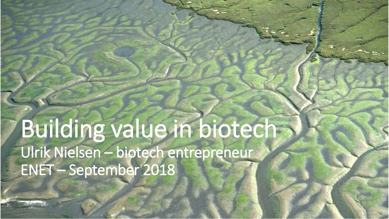## Building value in biotech Ulrik Nielsen – biotech entrepreneur ENET – September 2018

CONFIDENTIAL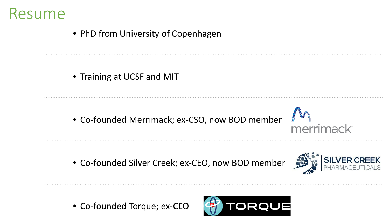

• PhD from University of Copenhagen

• Training at UCSF and MIT

• Co-founded Merrimack; ex-CSO, now BOD member

• Co-founded Silver Creek; ex-CEO, now BOD member



merrimack

• Co-founded Torque; ex-CEO

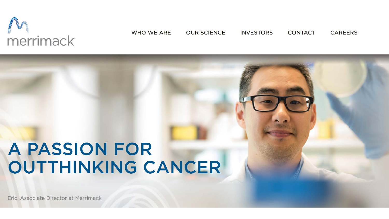# merrimack

**WHO WE ARE OUR SCIENCE INVESTORS CONTACT CAREERS** 

### **A PASSION FOR OUTTHINKING CANCER**

Eric, Associate Director at Merrimack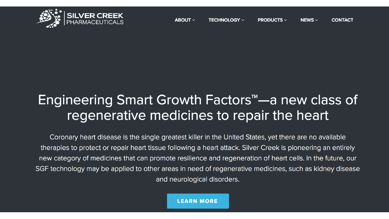

#### Engineering Smart Growth Factors<sup>™</sup>—a new class of regenerative medicines to repair the heart

Coronary heart disease is the single greatest killer in the United States, yet there are no available therapies to protect or repair heart tissue following a heart attack. Silver Creek is pioneering an entirely new category of medicines that can promote resilience and regeneration of heart cells. In the future, our SGF technology may be applied to other areas in need of regenerative medicines, such as kidney disease and neurological disorders.

**LEARN MORE**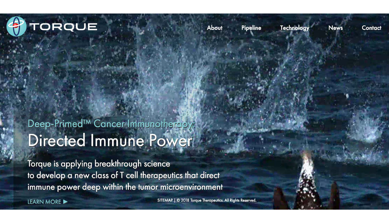

**Technology** 

**News** 

Contact

#### Deep-Primed<sup>™</sup> Cancer Immunotherapy: Directed Immune Power

Torque is applying breakthrough science to develop a new class of T cell therapeutics that direct immune power deep within the tumor microenvironment

SITEMAP | © 2018 Torque Therapeutics. All Rights Reserved.

**LEARN MORE**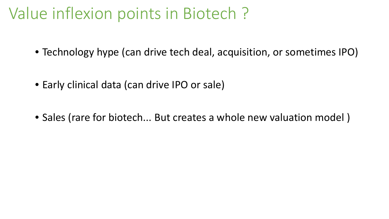#### Value inflexion points in Biotech ?

- Technology hype (can drive tech deal, acquisition, or sometimes IPO)
- Early clinical data (can drive IPO or sale)
- Sales (rare for biotech... But creates a whole new valuation model )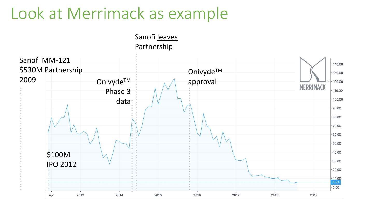#### Look at Merrimack as example

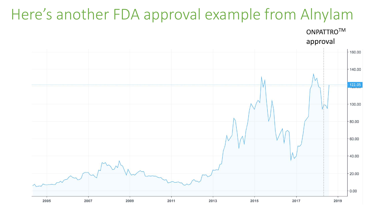#### Here's another FDA approval example from Alnylam



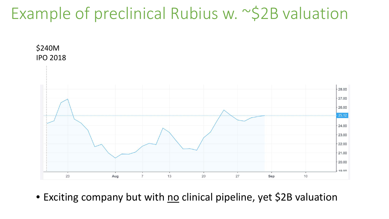#### Example of preclinical Rubius w. ~\$2B valuation



• Exciting company but with no clinical pipeline, yet \$2B valuation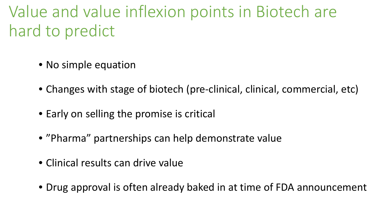Value and value inflexion points in Biotech are hard to predict

- No simple equation
- Changes with stage of biotech (pre-clinical, clinical, commercial, etc)
- Early on selling the promise is critical
- "Pharma" partnerships can help demonstrate value
- Clinical results can drive value
- Drug approval is often already baked in at time of FDA announcement